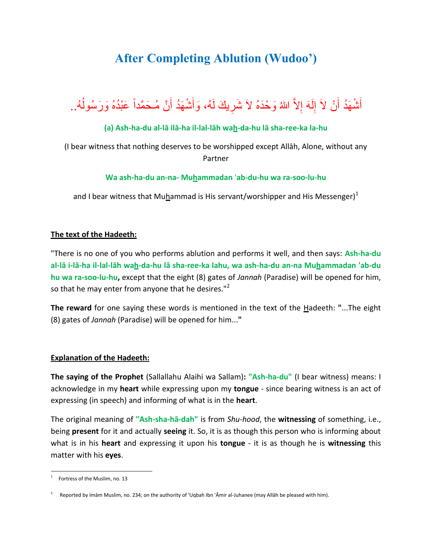# **After Completing Ablution (Wudoo')**

#### أَشْهَدُ أَنْ لاَ إِلَهَ إِلاَّ اللهُ وَحْدَهُ لاَ شَرِيكَ لَهُ، وَأَشْهَدُ أَنَّ مُـحَمَّداً عَبْدُهُ وَرَسُولُهُ.. َ  $\overline{\phantom{a}}$ ĺ َ َ لَ ِ

## **(a) Ash-ha-du al-lā ilā-ha il-lal-lāh wah-da-hu lā sha-ree-ka la-hu**

(I bear witness that nothing deserves to be worshipped except Allāh, Alone, without any Partner

#### **Wa ash-ha-du an-na- Muhammadan** '**ab-du-hu wa ra-soo-lu-hu**

and I bear witness that Muhammad is His servant/worshipper and His Messenger) $^{1}$ 

### **The text of the Hadeeth:**

"There is no one of you who performs ablution and performs it well, and then says: **Ash-ha-du al-lā i-lā-ha il-lal-lāh wah-da-hu lā sha-ree-ka lahu, wa ash-ha-du an-na Muhammadan 'ab-du hu wa ra-soo-lu-hu,** except that the eight (8) gates of *Jannah* (Paradise) will be opened for him, so that he may enter from anyone that he desires."<sup>2</sup>

**The reward** for one saying these words is mentioned in the text of the Hadeeth: **"**...The eight (8) gates of *Jannah* (Paradise) will be opened for him...**"**

### **Explanation of the Hadeeth:**

**The saying of the Prophet** (Sallallahu Alaihi wa Sallam)**: "Ash-ha-du"** (I bear witness) means: I acknowledge in my **heart** while expressing upon my **tongue** - since bearing witness is an act of expressing (in speech) and informing of what is in the **heart**.

The original meaning of **"Ash-sha-hā-dah"** is from *Shu-hood*, the **witnessing** of something, i.e., being **present** for it and actually **seeing** it. So, it is as though this person who is informing about what is in his **heart** and expressing it upon his **tongue** - it is as though he is **witnessing** this matter with his **eyes**.

 $\overline{a}$ 

<sup>1</sup> Fortress of the Muslim, no. 13

<sup>2</sup> Reported by Imām Muslim, no. 234; on the authority of 'Uqbah Ibn 'Āmir al-Juhanee (may Allāh be pleased with him).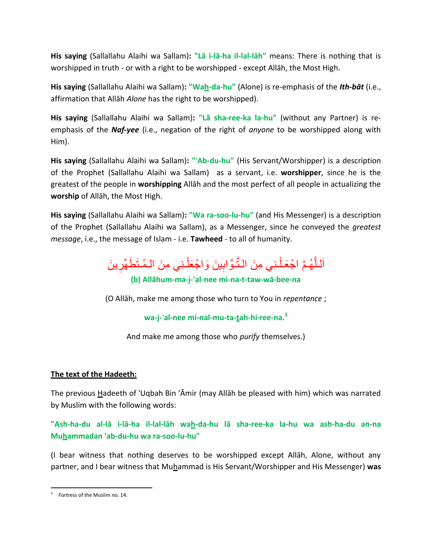**His saying** (Sallallahu Alaihi wa Sallam)**: "Lā i-lā-ha il-lal-lāh"** means: There is nothing that is worshipped in truth - or with a right to be worshipped - except Allāh, the Most High.

**His saying** (Sallallahu Alaihi wa Sallam)**: "Wah-da-hu"** (Alone) is re-emphasis of the *Ith-bāt* (i.e., affirmation that Allāh *Alone* has the right to be worshipped).

**His saying** (Sallallahu Alaihi wa Sallam)**: "Lā sha-ree-ka la-hu"** (without any Partner) is reemphasis of the *Naf-yee* (i.e., negation of the right of *anyone* to be worshipped along with Him).

**His saying** (Sallallahu Alaihi wa Sallam)**: "**'**Ab-du-hu"** (His Servant/Worshipper) is a description of the Prophet (Sallallahu Alaihi wa Sallam) as a servant, i.e. **worshipper**, since he is the greatest of the people in **worshipping** Allāh and the most perfect of all people in actualizing the **worship** of Allāh, the Most High.

**His saying** (Sallallahu Alaihi wa Sallam)**: "Wa ra-soo-lu-hu"** (and His Messenger) is a description of the Prophet (Sallallahu Alaihi wa Sallam), as a Messenger, since he conveyed the *greatest message*, i.e., the message of Islam - i.e. **Tawheed** - to all of humanity.

اَللَّهُمَّ اجْعَلْنِي مِنَ النَّوَّابِينَ وَاجْعَلْنِي مِنَ الْمُتَطَهِّرِينَ ا ْ ِ ِ **(b) Allāhum-ma-j-'al-nee mi-na-t-taw-wā-bee-na**

(O Allāh, make me among those who turn to You in *repentance* ;

**wa-j-**'**al-nee mi-nal-mu-ta-tah-hi·ree-na.<sup>3</sup>**

And make me among those who *purify* themselves.)

# **The text of the Hadeeth:**

The previous Hadeeth of 'Uqbah Bin 'Āmir (may Allāh be pleased with him) which was narrated by Muslim with the following words:

**"Ash-ha-du al-lā i-lā-ha il-lal-lāh wah-da-hu lā sha-ree-ka la-hu wa ash-ha-du an-na Muhammadan 'ab-du-hu wa ra-soo-lu-hu"**

(I bear witness that nothing deserves to be worshipped except Allāh, Alone, without any partner, and I bear witness that Muhammad is His Servant/Worshipper and His Messenger) **was** 

 $\overline{a}$ 3 Fortress of the Muslim no. 14.